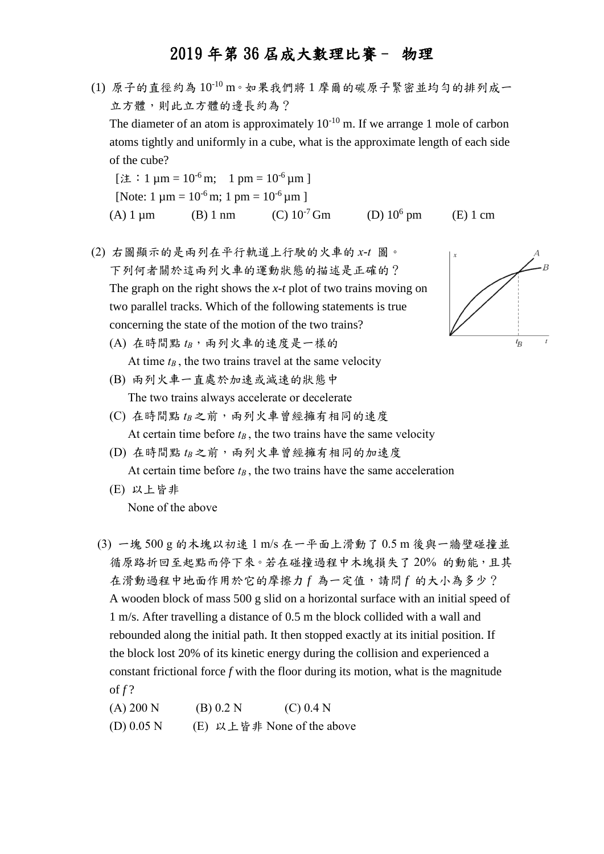- (1) 原子的直徑約為 10-10 m。如果我們將 1 摩爾的碳原子緊密並均勻的排列成一 立方體,則此立方體的邊長約為? The diameter of an atom is approximately  $10^{-10}$  m. If we arrange 1 mole of carbon atoms tightly and uniformly in a cube, what is the approximate length of each side of the cube? [注: 1  $\mu$ m = 10<sup>-6</sup> m; 1 pm = 10<sup>-6</sup>  $\mu$ m ] [Note: 1  $\mu$ m = 10<sup>-6</sup> m; 1 pm = 10<sup>-6</sup>  $\mu$ m ]
	- (A) 1  $\mu$ m (B) 1 nm (C) 10<sup>-7</sup> Gm (D) 10<sup>6</sup> pm  $(E)$  1 cm
- (2) 右圖顯示的是兩列在平行軌道上行駛的火車的 *x*-*t* 圖。 下列何者關於這兩列火車的運動狀態的描述是正確的? The graph on the right shows the *x-t* plot of two trains moving on two parallel tracks. Which of the following statements is true concerning the state of the motion of the two trains?
	- (A) 在時間點  $t_B$ , 兩列火車的速度是一樣的 At time  $t_B$ , the two trains travel at the same velocity
	- (B) 兩列火車一直處於加速或減速的狀態中 The two trains always accelerate or decelerate
	- (C) 在時間點  $t_B$ 之前,兩列火車曾經擁有相同的速度 At certain time before  $t_B$ , the two trains have the same velocity
	- (D) 在時間點  $t_B$ 之前,兩列火車曾經擁有相同的加速度 At certain time before  $t_B$ , the two trains have the same acceleration
	- (E) 以上皆非 None of the above
	- (3) 一塊 500 g 的木塊以初速 1 m/s 在一平面上滑動了 0.5 m 後與一牆壁碰撞並 循原路折回至起點而停下來。若在碰撞過程中木塊損失了 20% 的動能,且其 在滑動過程中地面作用於它的摩擦力 *f* 為一定值,請問 *f* 的大小為多少? A wooden block of mass 500 g slid on a horizontal surface with an initial speed of 1 m/s. After travelling a distance of 0.5 m the block collided with a wall and rebounded along the initial path. It then stopped exactly at its initial position. If the block lost 20% of its kinetic energy during the collision and experienced a constant frictional force *f* with the floor during its motion, what is the magnitude of *f* ?

(A) 200 N (B) 0.2 N (C) 0.4 N (D)  $0.05$  N (E) 以上皆非 None of the above

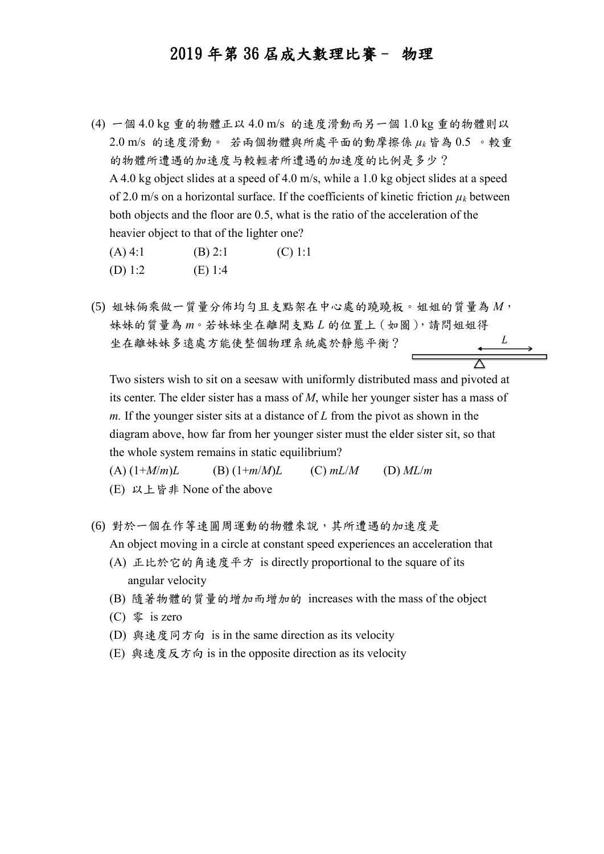- (4) 一個 4.0 kg 重的物體正以 4.0 m/s 的速度滑動而另一個 1.0 kg 重的物體則以 2.0 m/s 的速度滑動。 若兩個物體與所處平面的動摩擦係 *µ<sup>k</sup>* 皆為 0.5 。較重 的物體所遭遇的加速度与較輕者所遭遇的加速度的比例是多少? A 4.0 kg object slides at a speed of 4.0 m/s, while a 1.0 kg object slides at a speed of 2.0 m/s on a horizontal surface. If the coefficients of kinetic friction  $\mu_k$  between both objects and the floor are 0.5, what is the ratio of the acceleration of the heavier object to that of the lighter one?  $(A) 4:1$  (B) 2:1 (C) 1:1 (D) 1:2 (E) 1:4
- (5) 姐妹倆乘做一質量分佈均勻且支點架在中心處的蹺蹺板。姐姐的質量為 *M*, 妹妹的質量為 *m*。若妹妹坐在離開支點 *L* 的位置上(如圖),請問姐姐得 坐在離妹妹多遠處方能使整個物理系統處於靜態平衡?

Two sisters wish to sit on a seesaw with uniformly distributed mass and pivoted at its center. The elder sister has a mass of *M*, while her younger sister has a mass of *m.* If the younger sister sits at a distance of *L* from the pivot as shown in the diagram above, how far from her younger sister must the elder sister sit, so that the whole system remains in static equilibrium?

(A)  $(1+M/m)L$  (B)  $(1+m/M)L$  (C)  $mL/M$  (D)  $ML/m$ (E) 以上皆非 None of the above

- (6) 對於一個在作等速圓周運動的物體來說,其所遭遇的加速度是 An object moving in a circle at constant speed experiences an acceleration that
	- (A) 正比於它的角速度平方 is directly proportional to the square of its angular velocity
	- (B) 隨著物體的質量的增加而增加的 increases with the mass of the object
	- (C) 零 is zero
	- (D) 與速度同方向 is in the same direction as its velocity
	- (E) 與速度反方向 is in the opposite direction as its velocity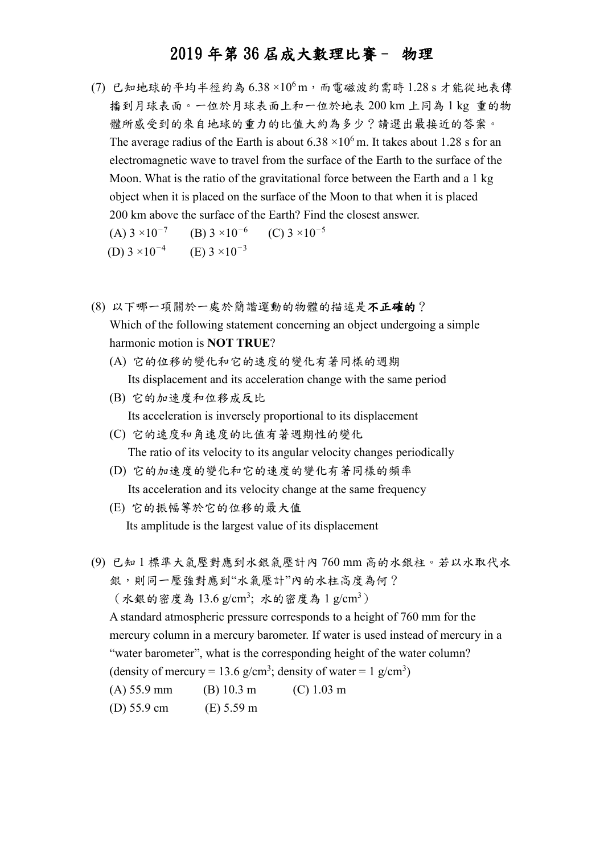$(7)$  已知地球的平均半徑約為  $6.38 \times 10^6$ m, 而電磁波約需時 1.28 s 才能從地表傳 播到月球表面。一位於月球表面上和一位於地表 200 km 上同為 1 kg 重的物 體所感受到的來自地球的重力的比值大約為多少?請選出最接近的答案。 The average radius of the Earth is about  $6.38 \times 10^6$  m. It takes about 1.28 s for an electromagnetic wave to travel from the surface of the Earth to the surface of the Moon. What is the ratio of the gravitational force between the Earth and a 1 kg object when it is placed on the surface of the Moon to that when it is placed 200 km above the surface of the Earth? Find the closest answer.

(A)  $3 \times 10^{-7}$  (B)  $3 \times 10^{-6}$  (C)  $3 \times 10^{-5}$ (D)  $3 \times 10^{-4}$  (E)  $3 \times 10^{-3}$ 

- (8) 以下哪一項關於一處於簡諧運動的物體的描述是不正確的? Which of the following statement concerning an object undergoing a simple harmonic motion is **NOT TRUE**?
	- (A) 它的位移的變化和它的速度的變化有著同樣的週期 Its displacement and its acceleration change with the same period
	- (B) 它的加速度和位移成反比 Its acceleration is inversely proportional to its displacement
	- (C) 它的速度和角速度的比值有著週期性的變化 The ratio of its velocity to its angular velocity changes periodically
	- (D) 它的加速度的變化和它的速度的變化有著同樣的頻率 Its acceleration and its velocity change at the same frequency
	- (E) 它的振幅等於它的位移的最大值 Its amplitude is the largest value of its displacement
- (9) 已知 1 標準大氣壓對應到水銀氣壓計內 760 mm 高的水銀柱。若以水取代水 銀,則同一壓強對應到"水氣壓計"內的水柱高度為何?  $($  水銀的密度為 13.6 g/cm<sup>3</sup>; 水的密度為 1 g/cm<sup>3</sup>) A standard atmospheric pressure corresponds to a height of 760 mm for the mercury column in a mercury barometer. If water is used instead of mercury in a "water barometer", what is the corresponding height of the water column? (density of mercury = 13.6 g/cm<sup>3</sup>; density of water = 1 g/cm<sup>3</sup>) (A) 55.9 mm (B) 10.3 m (C) 1.03 m (D) 55.9 cm (E) 5.59 m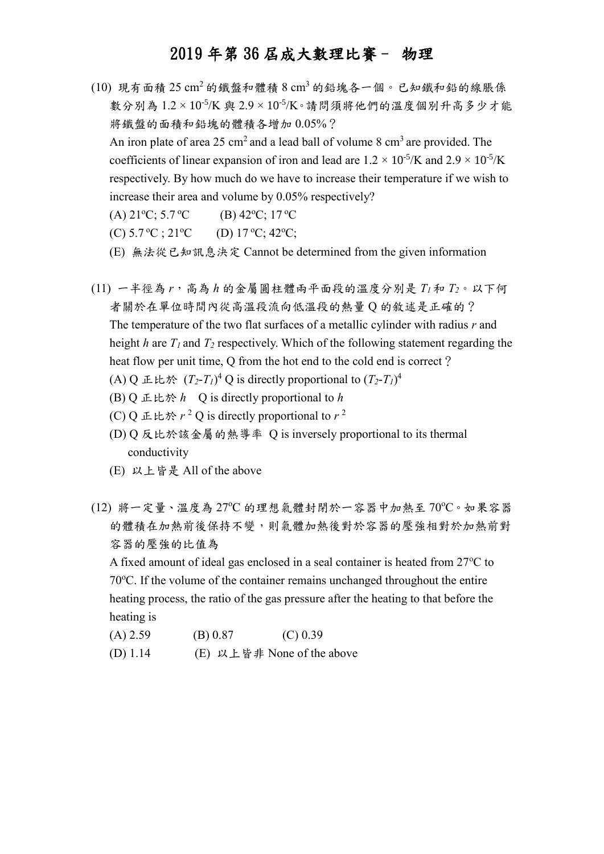- $(10)$  現有面積  $25 \text{ cm}^2$ 的鐵盤和體積  $8 \text{ cm}^3$ 的鉛塊各一個。已知鐵和鉛的線脹係 數分別為 1.2 × 10<sup>-5</sup>/K 與 2.9 × 10<sup>-5</sup>/K。請問須將他們的溫度個別升高多少才能 將鐵盤的面積和鉛塊的體積各增加 0.05%? An iron plate of area 25 cm<sup>2</sup> and a lead ball of volume 8 cm<sup>3</sup> are provided. The coefficients of linear expansion of iron and lead are  $1.2 \times 10^{-5}$ /K and  $2.9 \times 10^{-5}$ /K respectively. By how much do we have to increase their temperature if we wish to increase their area and volume by 0.05% respectively?
	- (A)  $21^{\circ}$ C; 5.7 <sup>o</sup>C (B) 42<sup>o</sup>C; 17 <sup>o</sup>C
	- (C)  $5.7 \,^{\circ}\text{C}$ ;  $21 \,^{\circ}\text{C}$  (D)  $17 \,^{\circ}\text{C}$ ;  $42 \,^{\circ}\text{C}$ ;
	- (E) 無法從已知訊息決定 Cannot be determined from the given information
- (11) 一半徑為 *r*,高為 *h* 的金屬圓柱體兩平面段的溫度分別是 *T<sup>1</sup>* 和 *T2*。以下何 者關於在單位時間內從高溫段流向低溫段的熱量 Q 的敘述是正確的? The temperature of the two flat surfaces of a metallic cylinder with radius *r* and height *h* are  $T_I$  and  $T_I$  respectively. Which of the following statement regarding the heat flow per unit time, O from the hot end to the cold end is correct? (A) Q 正比於  $(T_2-T_1)^4$  Q is directly proportional to  $(T_2-T_1)^4$ 
	- (B) Q 正比於 *h* Q is directly proportional to *h*
	- (C) Q 正比於  $r^2$  Q is directly proportional to  $r^2$
	- (D) Q 反比於該金屬的熱導率 Q is inversely proportional to its thermal conductivity
	- (E) 以上皆是 All of the above
- (12) 將一定量、溫度為 27℃ 的理想氣體封閉於一容器中加熱至70℃。如果容器 的體積在加熱前後保持不變,則氣體加熱後對於容器的壓強相對於加熱前對 容器的壓強的比值為

A fixed amount of ideal gas enclosed in a seal container is heated from  $27^{\circ}$ C to  $70^{\circ}$ C. If the volume of the container remains unchanged throughout the entire heating process, the ratio of the gas pressure after the heating to that before the heating is

- $(A) 2.59$  (B) 0.87 (C) 0.39
- (D) 1.14 (E) 以上皆非 None of the above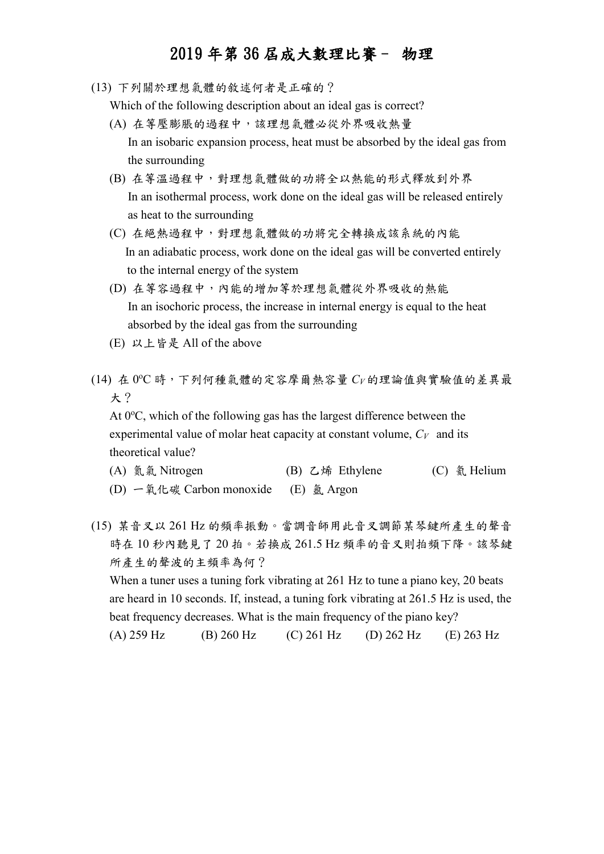(13) 下列關於理想氣體的敘述何者是正確的?

Which of the following description about an ideal gas is correct?

- (A) 在等壓膨脹的過程中,該理想氣體必從外界吸收熱量 In an isobaric expansion process, heat must be absorbed by the ideal gas from the surrounding
- (B) 在等溫過程中,對理想氣體做的功將全以熱能的形式釋放到外界 In an isothermal process, work done on the ideal gas will be released entirely as heat to the surrounding
- (C) 在絕熱過程中,對理想氣體做的功將完全轉換成該系統的內能 In an adiabatic process, work done on the ideal gas will be converted entirely to the internal energy of the system
- (D) 在等容過程中,內能的增加等於理想氣體從外界吸收的熱能 In an isochoric process, the increase in internal energy is equal to the heat absorbed by the ideal gas from the surrounding
- (E) 以上皆是 All of the above
- (14) 在 0 <sup>o</sup>C 時,下列何種氣體的定容摩爾熱容量 *C<sup>V</sup>* 的理論值與實驗值的差異最 大?

At  $0^{\circ}$ C, which of the following gas has the largest difference between the experimental value of molar heat capacity at constant volume, *CV* and its theoretical value?

| (A) 氮氣 Nitrogen                      | (B) 乙烯 Ethylene | (C) 氦 Helium |
|--------------------------------------|-----------------|--------------|
| (D) 一氧化碳 Carbon monoxide (E) 氩 Argon |                 |              |

(15) 某音叉以 261 Hz 的頻率振動。當調音師用此音叉調節某琴鍵所產生的聲音 時在 10 秒內聽見了 20 拍。若換成 261.5 Hz 頻率的音叉則拍頻下降。該琴鍵 所產生的聲波的主頻率為何?

When a tuner uses a tuning fork vibrating at 261 Hz to tune a piano key, 20 beats are heard in 10 seconds. If, instead, a tuning fork vibrating at 261.5 Hz is used, the beat frequency decreases. What is the main frequency of the piano key? (A) 259 Hz (B) 260 Hz (C) 261 Hz (D) 262 Hz (E) 263 Hz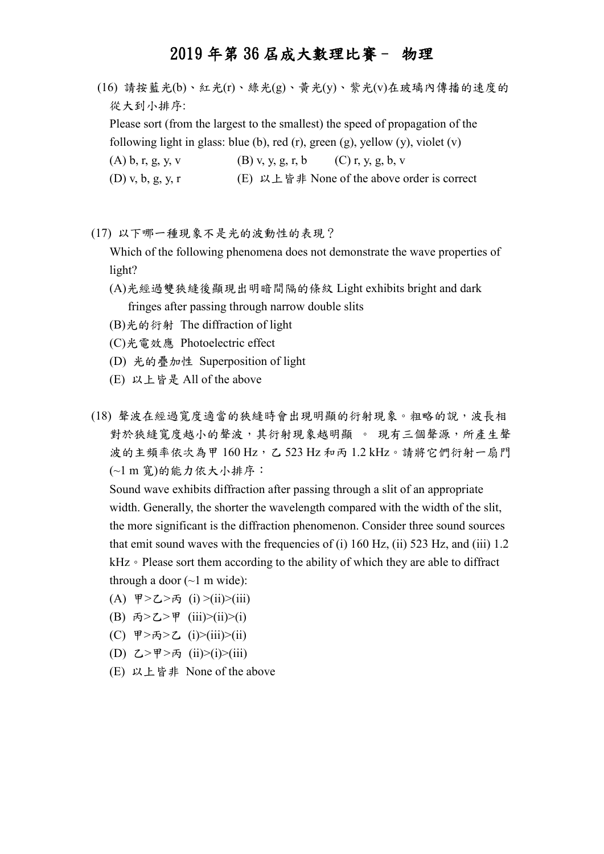(16) 請按藍光(b)、紅光(r)、綠光(g)、黃光(y)、紫光(v)在玻璃內傳播的速度的 從大到小排序:

Please sort (from the largest to the smallest) the speed of propagation of the following light in glass: blue (b), red (r), green (g), yellow (y), violet (v)

(A) b, r, g, y, v (B) v, y, g, r, b (C) r, y, g, b, v

(D) v, b, g, y, r (E)  $\forall \perp \& \#$  None of the above order is correct

(17) 以下哪一種現象不是光的波動性的表現?

Which of the following phenomena does not demonstrate the wave properties of light?

- (A)光經過雙狹縫後顯現出明暗間隔的條紋 Light exhibits bright and dark fringes after passing through narrow double slits
- (B)光的衍射 The diffraction of light
- (C)光電效應 Photoelectric effect
- (D) 光的疊加性 Superposition of light
- (E) 以上皆是 All of the above
- (18) 聲波在經過寬度適當的狹縫時會出現明顯的衍射現象。粗略的說,波長相 對於狹縫寬度越小的聲波,其衍射現象越明顯 。 現有三個聲源,所產生聲 波的主頻率依次為甲 160 Hz,乙 523 Hz 和丙 1.2 kHz。請將它們衍射一扇門 (~1 m 寬)的能力依大小排序:

Sound wave exhibits diffraction after passing through a slit of an appropriate width. Generally, the shorter the wavelength compared with the width of the slit, the more significant is the diffraction phenomenon. Consider three sound sources that emit sound waves with the frequencies of (i) 160 Hz, (ii) 523 Hz, and (iii) 1.2 kHz。Please sort them according to the ability of which they are able to diffract through a door  $(\sim 1 \text{ m wide})$ :

- (A) 甲>乙>丙 (i) >(ii)>(iii)
- (B) 丙>乙>甲 (iii)>(ii)>(i)
- (C) 甲>丙>乙 (i)>(iii)>(ii)
- (D) 乙>甲>丙 (ii)>(i)>(iii)
- (E) 以上皆非 None of the above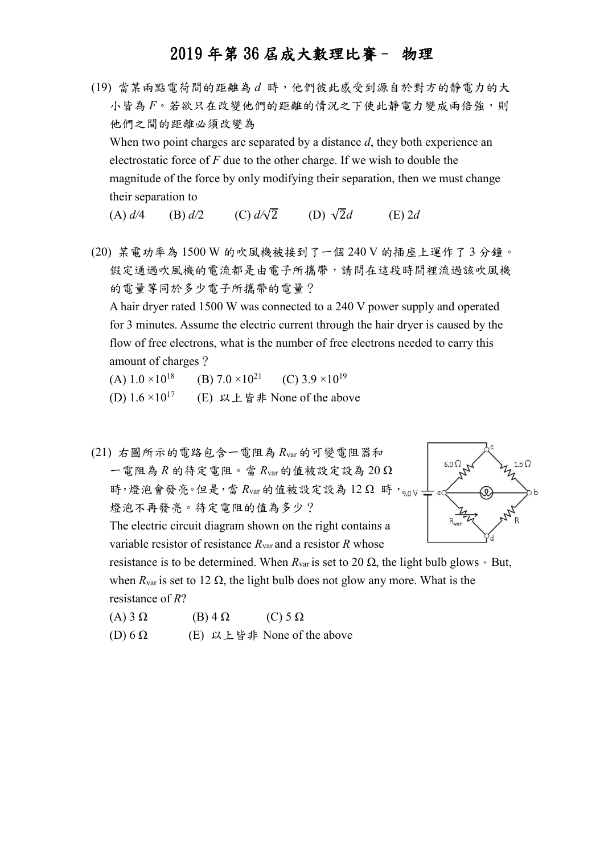(19) 當某兩點電荷間的距離為 *d* 時,他們彼此感受到源自於對方的靜電力的大 小皆為  $F \circ \ddot{x}$  欲只在改變他們的距離的情況之下使此靜電力變成兩倍強,則 他們之間的距離必須改變為 When two point charges are separated by a distance *d*, they both experience an electrostatic force of *F* due to the other charge. If we wish to double the magnitude of the force by only modifying their separation, then we must change their separation to

(A)  $d/4$  (B)  $d/2$  (C)  $d/\sqrt{2}$  (D)  $\sqrt{2}d$  (E) 2*d* 

(20) 某電功率為 1500 W 的吹風機被接到了一個 240 V 的插座上運作了 3 分鐘。 假定通過吹風機的電流都是由電子所攜帶,請問在這段時間裡流過該吹風機 的電量等同於多少電子所攜帶的電量?

A hair dryer rated 1500 W was connected to a 240 V power supply and operated for 3 minutes. Assume the electric current through the hair dryer is caused by the flow of free electrons, what is the number of free electrons needed to carry this amount of charges?

(A)  $1.0 \times 10^{18}$  (B)  $7.0 \times 10^{21}$  (C)  $3.9 \times 10^{19}$ (D)  $1.6 \times 10^{17}$ (E) 以上皆非 None of the above

(21) 右圖所示的電路包含一電阻為 *R*var 的可變電阻器和  $6.0<sub>\Omega</sub>$  $1.5 \Omega$ 一電阻為 *R* 的待定電阻。當 *R*var 的值被設定設為 20 Ω 時,燈泡會發亮。但是,當 Rvar 的值被設定設為 12 Ω 時, 90V -燈泡不再發亮。待定電阻的值為多少? The electric circuit diagram shown on the right contains a variable resistor of resistance *R*var and a resistor *R* whose resistance is to be determined. When  $R_{var}$  is set to 20  $\Omega$ , the light bulb glows  $\circ$  But, when  $R_{\text{var}}$  is set to 12  $\Omega$ , the light bulb does not glow any more. What is the

resistance of *R*?

- (A) 3 Ω  $(B)$  4 Ω  $(C) 5 \Omega$
- (D)  $6 \Omega$  (E) 以上皆非 None of the above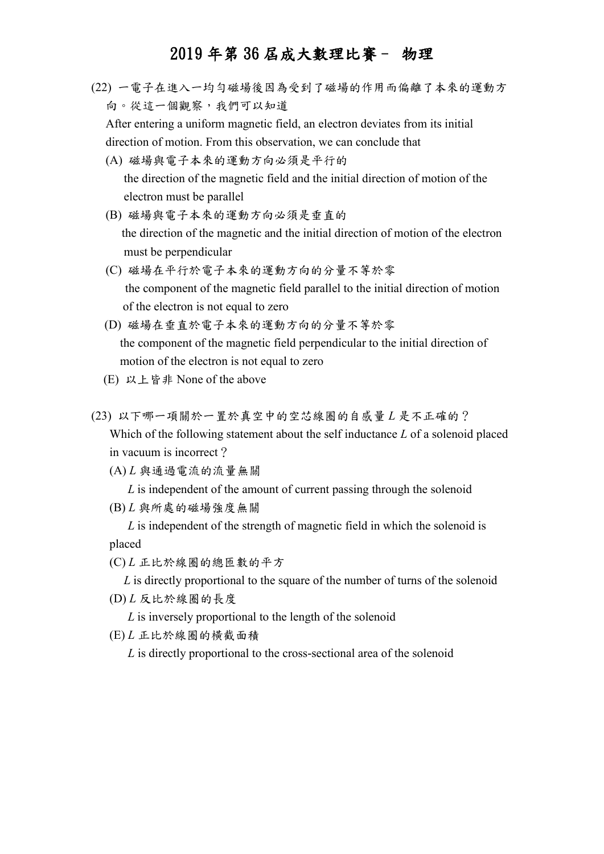(22) 一電子在進入一均勻磁場後因為受到了磁場的作用而偏離了本來的運動方 向。從這一個觀察,我們可以知道

After entering a uniform magnetic field, an electron deviates from its initial direction of motion. From this observation, we can conclude that

- (A) 磁場與電子本來的運動方向必須是平行的 the direction of the magnetic field and the initial direction of motion of the electron must be parallel
- (B) 磁場與電子本來的運動方向必須是垂直的 the direction of the magnetic and the initial direction of motion of the electron must be perpendicular
- (C) 磁場在平行於電子本來的運動方向的分量不等於零 the component of the magnetic field parallel to the initial direction of motion of the electron is not equal to zero
- (D) 磁場在垂直於電子本來的運動方向的分量不等於零 the component of the magnetic field perpendicular to the initial direction of motion of the electron is not equal to zero
- (E) 以上皆非 None of the above
- (23) 以下哪一項關於一置於真空中的空芯線圈的自感量 *L* 是不正確的? Which of the following statement about the self inductance *L* of a solenoid placed in vacuum is incorrect?

(A) *L* 與通過電流的流量無關

*L* is independent of the amount of current passing through the solenoid

(B) *L* 與所處的磁場強度無關

 *L* is independent of the strength of magnetic field in which the solenoid is placed

(C) *L* 正比於線圈的總匝數的平方

*L* is directly proportional to the square of the number of turns of the solenoid

(D) *L* 反比於線圈的長度

 *L* is inversely proportional to the length of the solenoid

(E) *L* 正比於線圈的橫截面積

 *L* is directly proportional to the cross-sectional area of the solenoid